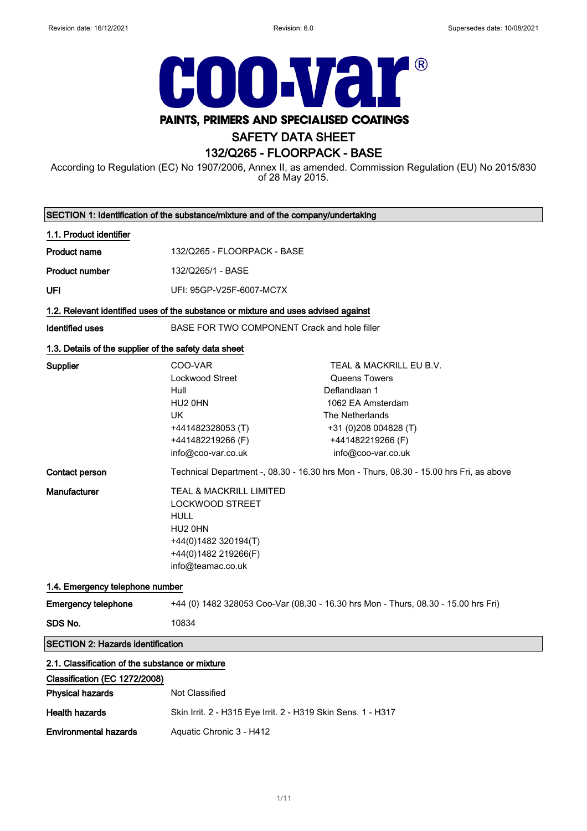$\overline{\phantom{0}}$ 



# PAINTS, PRIMERS AND SPECIALISED COATINGS

# SAFETY DATA SHEET

# 132/Q265 - FLOORPACK - BASE

According to Regulation (EC) No 1907/2006, Annex II, as amended. Commission Regulation (EU) No 2015/830 of 28 May 2015.

|                                                                                  | SECTION 1: Identification of the substance/mixture and of the company/undertaking                                                         |                                                                                                                                                                       |
|----------------------------------------------------------------------------------|-------------------------------------------------------------------------------------------------------------------------------------------|-----------------------------------------------------------------------------------------------------------------------------------------------------------------------|
| 1.1. Product identifier                                                          |                                                                                                                                           |                                                                                                                                                                       |
| <b>Product name</b>                                                              | 132/Q265 - FLOORPACK - BASE                                                                                                               |                                                                                                                                                                       |
| <b>Product number</b>                                                            | 132/Q265/1 - BASE                                                                                                                         |                                                                                                                                                                       |
| UFI                                                                              | UFI: 95GP-V25F-6007-MC7X                                                                                                                  |                                                                                                                                                                       |
|                                                                                  | 1.2. Relevant identified uses of the substance or mixture and uses advised against                                                        |                                                                                                                                                                       |
| <b>Identified uses</b>                                                           | BASE FOR TWO COMPONENT Crack and hole filler                                                                                              |                                                                                                                                                                       |
| 1.3. Details of the supplier of the safety data sheet                            |                                                                                                                                           |                                                                                                                                                                       |
| <b>Supplier</b>                                                                  | COO-VAR<br>Lockwood Street<br>Hull<br>HU2 0HN<br><b>UK</b><br>+441482328053 (T)<br>+441482219266 (F)<br>info@coo-var.co.uk                | TEAL & MACKRILL EU B.V.<br>Queens Towers<br>Deflandlaan 1<br>1062 EA Amsterdam<br>The Netherlands<br>+31 (0)208 004828 (T)<br>+441482219266 (F)<br>info@coo-var.co.uk |
| Contact person                                                                   | Technical Department -, 08.30 - 16.30 hrs Mon - Thurs, 08.30 - 15.00 hrs Fri, as above                                                    |                                                                                                                                                                       |
| Manufacturer                                                                     | TEAL & MACKRILL LIMITED<br>LOCKWOOD STREET<br><b>HULL</b><br>HU2 0HN<br>+44(0)1482 320194(T)<br>+44(0)1482 219266(F)<br>info@teamac.co.uk |                                                                                                                                                                       |
| 1.4. Emergency telephone number                                                  |                                                                                                                                           |                                                                                                                                                                       |
| <b>Emergency telephone</b>                                                       | +44 (0) 1482 328053 Coo-Var (08.30 - 16.30 hrs Mon - Thurs, 08.30 - 15.00 hrs Fri)                                                        |                                                                                                                                                                       |
| SDS No.                                                                          | 10834                                                                                                                                     |                                                                                                                                                                       |
| <b>SECTION 2: Hazards identification</b>                                         |                                                                                                                                           |                                                                                                                                                                       |
| 2.1. Classification of the substance or mixture<br>Classification (EC 1272/2008) |                                                                                                                                           |                                                                                                                                                                       |
| <b>Physical hazards</b>                                                          | Not Classified                                                                                                                            |                                                                                                                                                                       |
| <b>Health hazards</b>                                                            | Skin Irrit. 2 - H315 Eye Irrit. 2 - H319 Skin Sens. 1 - H317                                                                              |                                                                                                                                                                       |
| <b>Environmental hazards</b>                                                     | Aquatic Chronic 3 - H412                                                                                                                  |                                                                                                                                                                       |
|                                                                                  |                                                                                                                                           |                                                                                                                                                                       |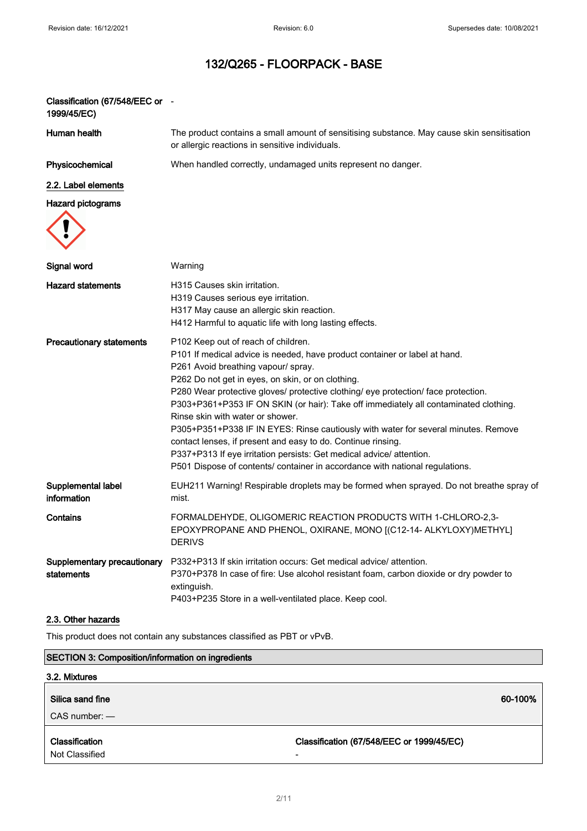| Classification (67/548/EEC or -<br>1999/45/EC) |                                                                                                                                                                                                                                                                                                                                                                                                                                                                                                                                                                                                                                                                                                                                               |
|------------------------------------------------|-----------------------------------------------------------------------------------------------------------------------------------------------------------------------------------------------------------------------------------------------------------------------------------------------------------------------------------------------------------------------------------------------------------------------------------------------------------------------------------------------------------------------------------------------------------------------------------------------------------------------------------------------------------------------------------------------------------------------------------------------|
| Human health                                   | The product contains a small amount of sensitising substance. May cause skin sensitisation<br>or allergic reactions in sensitive individuals.                                                                                                                                                                                                                                                                                                                                                                                                                                                                                                                                                                                                 |
| Physicochemical                                | When handled correctly, undamaged units represent no danger.                                                                                                                                                                                                                                                                                                                                                                                                                                                                                                                                                                                                                                                                                  |
| 2.2. Label elements                            |                                                                                                                                                                                                                                                                                                                                                                                                                                                                                                                                                                                                                                                                                                                                               |
| <b>Hazard pictograms</b>                       |                                                                                                                                                                                                                                                                                                                                                                                                                                                                                                                                                                                                                                                                                                                                               |
| Signal word                                    | Warning                                                                                                                                                                                                                                                                                                                                                                                                                                                                                                                                                                                                                                                                                                                                       |
| <b>Hazard statements</b>                       | H315 Causes skin irritation.<br>H319 Causes serious eye irritation.<br>H317 May cause an allergic skin reaction.<br>H412 Harmful to aquatic life with long lasting effects.                                                                                                                                                                                                                                                                                                                                                                                                                                                                                                                                                                   |
| <b>Precautionary statements</b>                | P102 Keep out of reach of children.<br>P101 If medical advice is needed, have product container or label at hand.<br>P261 Avoid breathing vapour/ spray.<br>P262 Do not get in eyes, on skin, or on clothing.<br>P280 Wear protective gloves/ protective clothing/ eye protection/ face protection.<br>P303+P361+P353 IF ON SKIN (or hair): Take off immediately all contaminated clothing.<br>Rinse skin with water or shower.<br>P305+P351+P338 IF IN EYES: Rinse cautiously with water for several minutes. Remove<br>contact lenses, if present and easy to do. Continue rinsing.<br>P337+P313 If eye irritation persists: Get medical advice/ attention.<br>P501 Dispose of contents/ container in accordance with national regulations. |
| Supplemental label<br>information              | EUH211 Warning! Respirable droplets may be formed when sprayed. Do not breathe spray of<br>mist.                                                                                                                                                                                                                                                                                                                                                                                                                                                                                                                                                                                                                                              |
| Contains                                       | FORMALDEHYDE, OLIGOMERIC REACTION PRODUCTS WITH 1-CHLORO-2,3-<br>EPOXYPROPANE AND PHENOL, OXIRANE, MONO [(C12-14- ALKYLOXY)METHYL]<br><b>DERIVS</b>                                                                                                                                                                                                                                                                                                                                                                                                                                                                                                                                                                                           |
| Supplementary precautionary<br>statements      | P332+P313 If skin irritation occurs: Get medical advice/attention.<br>P370+P378 In case of fire: Use alcohol resistant foam, carbon dioxide or dry powder to<br>extinguish.<br>P403+P235 Store in a well-ventilated place. Keep cool.                                                                                                                                                                                                                                                                                                                                                                                                                                                                                                         |
| 2.3. Other hazards                             |                                                                                                                                                                                                                                                                                                                                                                                                                                                                                                                                                                                                                                                                                                                                               |
|                                                |                                                                                                                                                                                                                                                                                                                                                                                                                                                                                                                                                                                                                                                                                                                                               |

This product does not contain any substances classified as PBT or vPvB.

# SECTION 3: Composition/information on ingredients

| 3.2. Mixtures                    |                                                                       |
|----------------------------------|-----------------------------------------------------------------------|
| Silica sand fine                 | 60-100%                                                               |
| $CAS$ number: $-$                |                                                                       |
| Classification<br>Not Classified | Classification (67/548/EEC or 1999/45/EC)<br>$\overline{\phantom{0}}$ |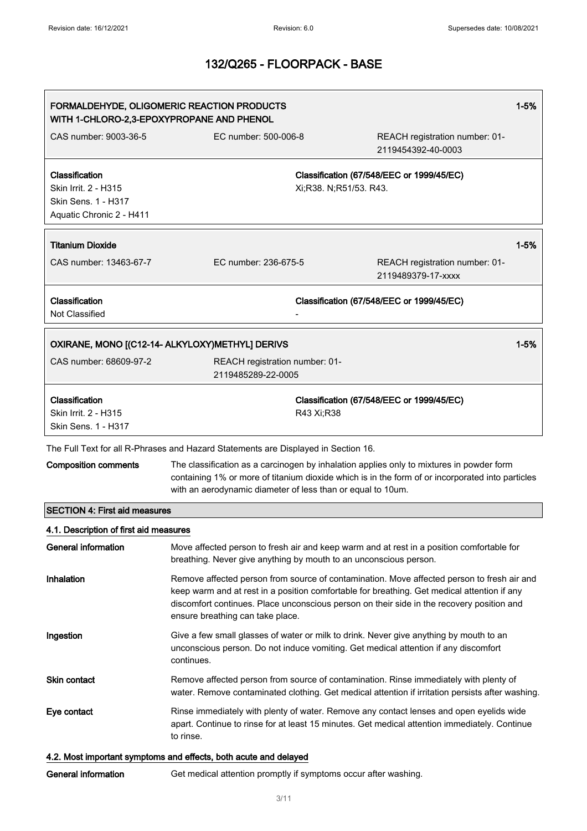| $1 - 5%$<br>FORMALDEHYDE, OLIGOMERIC REACTION PRODUCTS<br>WITH 1-CHLORO-2,3-EPOXYPROPANE AND PHENOL |                                                                                                                                                                                                                                                                                                                            |                                                                                                                                                                                              |          |
|-----------------------------------------------------------------------------------------------------|----------------------------------------------------------------------------------------------------------------------------------------------------------------------------------------------------------------------------------------------------------------------------------------------------------------------------|----------------------------------------------------------------------------------------------------------------------------------------------------------------------------------------------|----------|
| CAS number: 9003-36-5                                                                               | EC number: 500-006-8                                                                                                                                                                                                                                                                                                       | REACH registration number: 01-<br>2119454392-40-0003                                                                                                                                         |          |
| Classification<br>Skin Irrit. 2 - H315<br>Skin Sens. 1 - H317<br>Aquatic Chronic 2 - H411           |                                                                                                                                                                                                                                                                                                                            | Classification (67/548/EEC or 1999/45/EC)<br>Xi;R38. N;R51/53. R43.                                                                                                                          |          |
| <b>Titanium Dioxide</b>                                                                             |                                                                                                                                                                                                                                                                                                                            |                                                                                                                                                                                              | $1 - 5%$ |
| CAS number: 13463-67-7                                                                              | EC number: 236-675-5                                                                                                                                                                                                                                                                                                       | REACH registration number: 01-<br>2119489379-17-xxxx                                                                                                                                         |          |
| Classification<br>Not Classified                                                                    |                                                                                                                                                                                                                                                                                                                            | Classification (67/548/EEC or 1999/45/EC)                                                                                                                                                    |          |
|                                                                                                     | OXIRANE, MONO [(C12-14- ALKYLOXY)METHYL] DERIVS                                                                                                                                                                                                                                                                            |                                                                                                                                                                                              | $1 - 5%$ |
| CAS number: 68609-97-2                                                                              | REACH registration number: 01-<br>2119485289-22-0005                                                                                                                                                                                                                                                                       |                                                                                                                                                                                              |          |
| Classification<br>Skin Irrit. 2 - H315<br>Skin Sens. 1 - H317                                       |                                                                                                                                                                                                                                                                                                                            | Classification (67/548/EEC or 1999/45/EC)<br>R43 Xi;R38                                                                                                                                      |          |
|                                                                                                     | The Full Text for all R-Phrases and Hazard Statements are Displayed in Section 16.                                                                                                                                                                                                                                         |                                                                                                                                                                                              |          |
| <b>Composition comments</b>                                                                         | with an aerodynamic diameter of less than or equal to 10um.                                                                                                                                                                                                                                                                | The classification as a carcinogen by inhalation applies only to mixtures in powder form<br>containing 1% or more of titanium dioxide which is in the form of or incorporated into particles |          |
| <b>SECTION 4: First aid measures</b>                                                                |                                                                                                                                                                                                                                                                                                                            |                                                                                                                                                                                              |          |
| 4.1. Description of first aid measures                                                              |                                                                                                                                                                                                                                                                                                                            |                                                                                                                                                                                              |          |
| General information                                                                                 |                                                                                                                                                                                                                                                                                                                            | Move affected person to fresh air and keep warm and at rest in a position comfortable for<br>breathing. Never give anything by mouth to an unconscious person.                               |          |
| Inhalation                                                                                          | Remove affected person from source of contamination. Move affected person to fresh air and<br>keep warm and at rest in a position comfortable for breathing. Get medical attention if any<br>discomfort continues. Place unconscious person on their side in the recovery position and<br>ensure breathing can take place. |                                                                                                                                                                                              |          |
| Ingestion                                                                                           | continues.                                                                                                                                                                                                                                                                                                                 | Give a few small glasses of water or milk to drink. Never give anything by mouth to an<br>unconscious person. Do not induce vomiting. Get medical attention if any discomfort                |          |
| <b>Skin contact</b>                                                                                 |                                                                                                                                                                                                                                                                                                                            | Remove affected person from source of contamination. Rinse immediately with plenty of<br>water. Remove contaminated clothing. Get medical attention if irritation persists after washing.    |          |
| Eye contact                                                                                         | to rinse.                                                                                                                                                                                                                                                                                                                  | Rinse immediately with plenty of water. Remove any contact lenses and open eyelids wide<br>apart. Continue to rinse for at least 15 minutes. Get medical attention immediately. Continue     |          |
|                                                                                                     | 4.2. Most important symptoms and effects, both acute and delayed                                                                                                                                                                                                                                                           |                                                                                                                                                                                              |          |

General information Get medical attention promptly if symptoms occur after washing.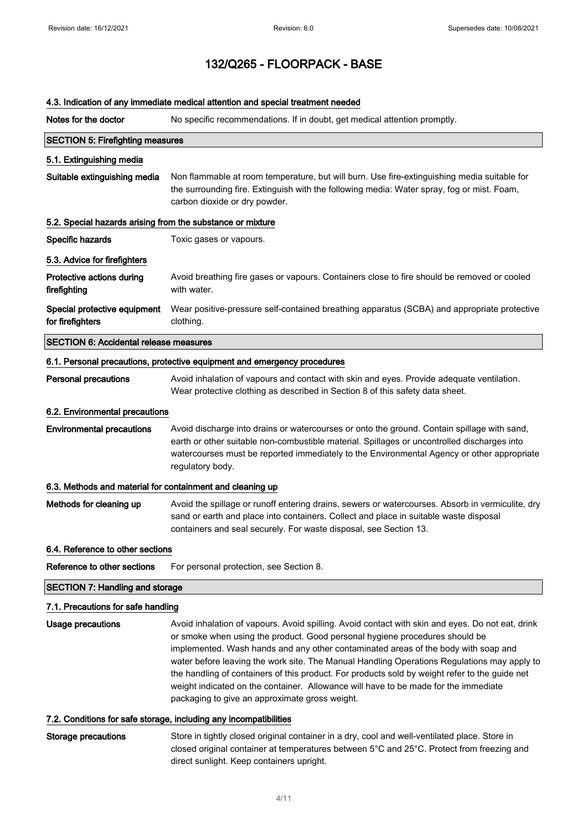## 4.3. Indication of any immediate medical attention and special treatment needed

| Notes for the doctor                                       | No specific recommendations. If in doubt, get medical attention promptly.                                                                                                                                                                                                                                                                                                                                                                                                                                                                                                                                       |  |  |
|------------------------------------------------------------|-----------------------------------------------------------------------------------------------------------------------------------------------------------------------------------------------------------------------------------------------------------------------------------------------------------------------------------------------------------------------------------------------------------------------------------------------------------------------------------------------------------------------------------------------------------------------------------------------------------------|--|--|
| <b>SECTION 5: Firefighting measures</b>                    |                                                                                                                                                                                                                                                                                                                                                                                                                                                                                                                                                                                                                 |  |  |
| 5.1. Extinguishing media                                   |                                                                                                                                                                                                                                                                                                                                                                                                                                                                                                                                                                                                                 |  |  |
| Suitable extinguishing media                               | Non flammable at room temperature, but will burn. Use fire-extinguishing media suitable for<br>the surrounding fire. Extinguish with the following media: Water spray, fog or mist. Foam,<br>carbon dioxide or dry powder.                                                                                                                                                                                                                                                                                                                                                                                      |  |  |
| 5.2. Special hazards arising from the substance or mixture |                                                                                                                                                                                                                                                                                                                                                                                                                                                                                                                                                                                                                 |  |  |
| Specific hazards                                           | Toxic gases or vapours.                                                                                                                                                                                                                                                                                                                                                                                                                                                                                                                                                                                         |  |  |
| 5.3. Advice for firefighters                               |                                                                                                                                                                                                                                                                                                                                                                                                                                                                                                                                                                                                                 |  |  |
| Protective actions during<br>firefighting                  | Avoid breathing fire gases or vapours. Containers close to fire should be removed or cooled<br>with water.                                                                                                                                                                                                                                                                                                                                                                                                                                                                                                      |  |  |
| Special protective equipment<br>for firefighters           | Wear positive-pressure self-contained breathing apparatus (SCBA) and appropriate protective<br>clothing.                                                                                                                                                                                                                                                                                                                                                                                                                                                                                                        |  |  |
| <b>SECTION 6: Accidental release measures</b>              |                                                                                                                                                                                                                                                                                                                                                                                                                                                                                                                                                                                                                 |  |  |
|                                                            | 6.1. Personal precautions, protective equipment and emergency procedures                                                                                                                                                                                                                                                                                                                                                                                                                                                                                                                                        |  |  |
| <b>Personal precautions</b>                                | Avoid inhalation of vapours and contact with skin and eyes. Provide adequate ventilation.<br>Wear protective clothing as described in Section 8 of this safety data sheet.                                                                                                                                                                                                                                                                                                                                                                                                                                      |  |  |
| 6.2. Environmental precautions                             |                                                                                                                                                                                                                                                                                                                                                                                                                                                                                                                                                                                                                 |  |  |
| <b>Environmental precautions</b>                           | Avoid discharge into drains or watercourses or onto the ground. Contain spillage with sand,<br>earth or other suitable non-combustible material. Spillages or uncontrolled discharges into<br>watercourses must be reported immediately to the Environmental Agency or other appropriate<br>regulatory body.                                                                                                                                                                                                                                                                                                    |  |  |
| 6.3. Methods and material for containment and cleaning up  |                                                                                                                                                                                                                                                                                                                                                                                                                                                                                                                                                                                                                 |  |  |
| Methods for cleaning up                                    | Avoid the spillage or runoff entering drains, sewers or watercourses. Absorb in vermiculite, dry<br>sand or earth and place into containers. Collect and place in suitable waste disposal<br>containers and seal securely. For waste disposal, see Section 13.                                                                                                                                                                                                                                                                                                                                                  |  |  |
| 6.4. Reference to other sections                           |                                                                                                                                                                                                                                                                                                                                                                                                                                                                                                                                                                                                                 |  |  |
| Reference to other sections                                | For personal protection, see Section 8.                                                                                                                                                                                                                                                                                                                                                                                                                                                                                                                                                                         |  |  |
| <b>SECTION 7: Handling and storage</b>                     |                                                                                                                                                                                                                                                                                                                                                                                                                                                                                                                                                                                                                 |  |  |
| 7.1. Precautions for safe handling                         |                                                                                                                                                                                                                                                                                                                                                                                                                                                                                                                                                                                                                 |  |  |
| Usage precautions                                          | Avoid inhalation of vapours. Avoid spilling. Avoid contact with skin and eyes. Do not eat, drink<br>or smoke when using the product. Good personal hygiene procedures should be<br>implemented. Wash hands and any other contaminated areas of the body with soap and<br>water before leaving the work site. The Manual Handling Operations Regulations may apply to<br>the handling of containers of this product. For products sold by weight refer to the guide net<br>weight indicated on the container. Allowance will have to be made for the immediate<br>packaging to give an approximate gross weight. |  |  |

## 7.2. Conditions for safe storage, including any incompatibilities

Storage precautions Store in tightly closed original container in a dry, cool and well-ventilated place. Store in closed original container at temperatures between 5°C and 25°C. Protect from freezing and direct sunlight. Keep containers upright.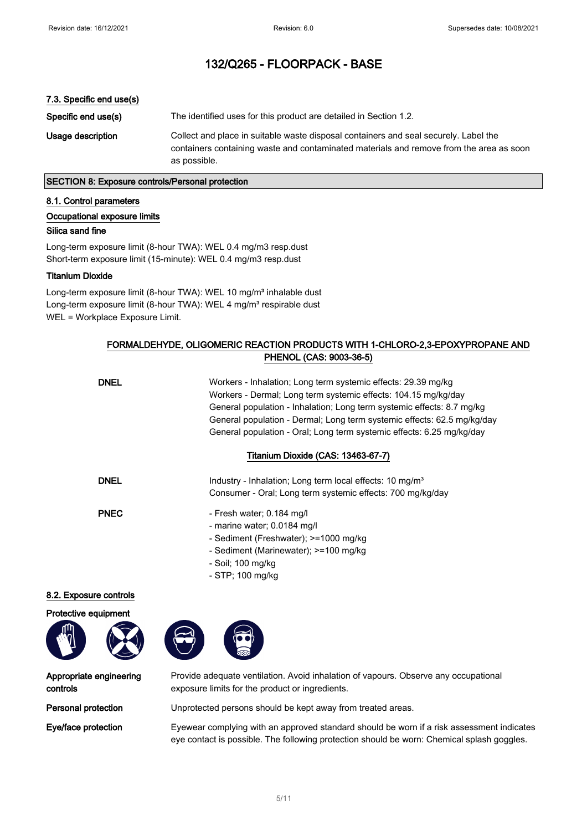### 7.3. Specific end use(s)

Specific end use(s) The identified uses for this product are detailed in Section 1.2. Usage description Collect and place in suitable waste disposal containers and seal securely. Label the containers containing waste and contaminated materials and remove from the area as soon as possible.

## SECTION 8: Exposure controls/Personal protection

#### 8.1. Control parameters

#### Occupational exposure limits

#### Silica sand fine

Long-term exposure limit (8-hour TWA): WEL 0.4 mg/m3 resp.dust Short-term exposure limit (15-minute): WEL 0.4 mg/m3 resp.dust

## Titanium Dioxide

Long-term exposure limit (8-hour TWA): WEL 10 mg/m<sup>3</sup> inhalable dust Long-term exposure limit (8-hour TWA): WEL 4 mg/m<sup>3</sup> respirable dust WEL = Workplace Exposure Limit.

## FORMALDEHYDE, OLIGOMERIC REACTION PRODUCTS WITH 1-CHLORO-2,3-EPOXYPROPANE AND PHENOL (CAS: 9003-36-5)

| <b>DNEL</b>    | Workers - Inhalation; Long term systemic effects: 29.39 mg/kg<br>Workers - Dermal; Long term systemic effects: 104.15 mg/kg/day<br>General population - Inhalation; Long term systemic effects: 8.7 mg/kg<br>General population - Dermal; Long term systemic effects: 62.5 mg/kg/day<br>General population - Oral; Long term systemic effects: 6.25 mg/kg/day |
|----------------|---------------------------------------------------------------------------------------------------------------------------------------------------------------------------------------------------------------------------------------------------------------------------------------------------------------------------------------------------------------|
|                | Titanium Dioxide (CAS: 13463-67-7)                                                                                                                                                                                                                                                                                                                            |
| <b>DNEL</b>    | Industry - Inhalation; Long term local effects: 10 mg/m <sup>3</sup><br>Consumer - Oral; Long term systemic effects: 700 mg/kg/day                                                                                                                                                                                                                            |
| <b>PNEC</b>    | - Fresh water; 0.184 mg/l<br>- marine water; 0.0184 mg/l<br>- Sediment (Freshwater); >=1000 mg/kg<br>- Sediment (Marinewater); >=100 mg/kg<br>- Soil; 100 mg/kg<br>- STP; 100 mg/kg                                                                                                                                                                           |
| osure controls |                                                                                                                                                                                                                                                                                                                                                               |

8.2. Exp

Protective equipment



Appropriate engineering controls

Provide adequate ventilation. Avoid inhalation of vapours. Observe any occupational exposure limits for the product or ingredients.

Personal protection Unprotected persons should be kept away from treated areas.

Eye/face protection Eyewear complying with an approved standard should be worn if a risk assessment indicates eye contact is possible. The following protection should be worn: Chemical splash goggles.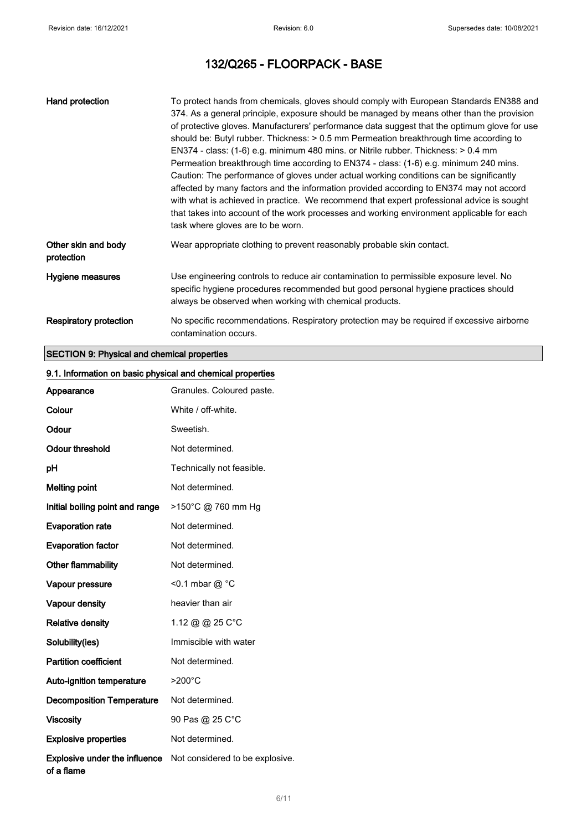| Hand protection                   | To protect hands from chemicals, gloves should comply with European Standards EN388 and<br>374. As a general principle, exposure should be managed by means other than the provision<br>of protective gloves. Manufacturers' performance data suggest that the optimum glove for use<br>should be: Butyl rubber. Thickness: > 0.5 mm Permeation breakthrough time according to<br>EN374 - class: (1-6) e.g. minimum 480 mins. or Nitrile rubber. Thickness: > 0.4 mm<br>Permeation breakthrough time according to EN374 - class: (1-6) e.g. minimum 240 mins.<br>Caution: The performance of gloves under actual working conditions can be significantly<br>affected by many factors and the information provided according to EN374 may not accord<br>with what is achieved in practice. We recommend that expert professional advice is sought<br>that takes into account of the work processes and working environment applicable for each<br>task where gloves are to be worn. |
|-----------------------------------|------------------------------------------------------------------------------------------------------------------------------------------------------------------------------------------------------------------------------------------------------------------------------------------------------------------------------------------------------------------------------------------------------------------------------------------------------------------------------------------------------------------------------------------------------------------------------------------------------------------------------------------------------------------------------------------------------------------------------------------------------------------------------------------------------------------------------------------------------------------------------------------------------------------------------------------------------------------------------------|
| Other skin and body<br>protection | Wear appropriate clothing to prevent reasonably probable skin contact.                                                                                                                                                                                                                                                                                                                                                                                                                                                                                                                                                                                                                                                                                                                                                                                                                                                                                                             |
| Hygiene measures                  | Use engineering controls to reduce air contamination to permissible exposure level. No<br>specific hygiene procedures recommended but good personal hygiene practices should<br>always be observed when working with chemical products.                                                                                                                                                                                                                                                                                                                                                                                                                                                                                                                                                                                                                                                                                                                                            |
| <b>Respiratory protection</b>     | No specific recommendations. Respiratory protection may be required if excessive airborne<br>contamination occurs.                                                                                                                                                                                                                                                                                                                                                                                                                                                                                                                                                                                                                                                                                                                                                                                                                                                                 |

# SECTION 9: Physical and chemical properties

| 9.1. Information on basic physical and chemical properties |                                 |  |
|------------------------------------------------------------|---------------------------------|--|
| Appearance                                                 | Granules. Coloured paste.       |  |
| Colour                                                     | White / off-white.              |  |
| Odour                                                      | Sweetish.                       |  |
| <b>Odour threshold</b>                                     | Not determined.                 |  |
| pH                                                         | Technically not feasible.       |  |
| <b>Melting point</b>                                       | Not determined.                 |  |
| Initial boiling point and range                            | >150°C @ 760 mm Hg              |  |
| <b>Evaporation rate</b>                                    | Not determined.                 |  |
| <b>Evaporation factor</b>                                  | Not determined.                 |  |
| Other flammability                                         | Not determined.                 |  |
| Vapour pressure                                            | <0.1 mbar @ °C                  |  |
| Vapour density                                             | heavier than air                |  |
| <b>Relative density</b>                                    | 1.12 @ @ 25 C°C                 |  |
| Solubility(ies)                                            | Immiscible with water           |  |
| <b>Partition coefficient</b>                               | Not determined.                 |  |
| Auto-ignition temperature                                  | $>200^{\circ}$ C                |  |
| <b>Decomposition Temperature</b>                           | Not determined.                 |  |
| <b>Viscosity</b>                                           | 90 Pas @ 25 C°C                 |  |
| <b>Explosive properties</b>                                | Not determined.                 |  |
| Explosive under the influence<br>of a flame                | Not considered to be explosive. |  |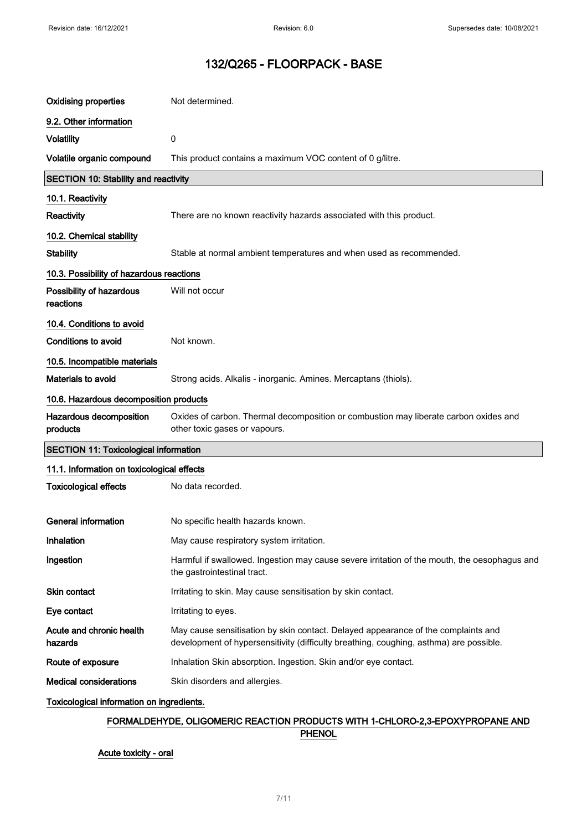| 9.2. Other information                                                                                                                                                                                             |  |  |
|--------------------------------------------------------------------------------------------------------------------------------------------------------------------------------------------------------------------|--|--|
|                                                                                                                                                                                                                    |  |  |
| <b>Volatility</b><br>0                                                                                                                                                                                             |  |  |
| Volatile organic compound<br>This product contains a maximum VOC content of 0 g/litre.                                                                                                                             |  |  |
| <b>SECTION 10: Stability and reactivity</b>                                                                                                                                                                        |  |  |
| 10.1. Reactivity                                                                                                                                                                                                   |  |  |
| Reactivity<br>There are no known reactivity hazards associated with this product.                                                                                                                                  |  |  |
| 10.2. Chemical stability                                                                                                                                                                                           |  |  |
| <b>Stability</b><br>Stable at normal ambient temperatures and when used as recommended.                                                                                                                            |  |  |
| 10.3. Possibility of hazardous reactions                                                                                                                                                                           |  |  |
| Possibility of hazardous<br>Will not occur<br>reactions                                                                                                                                                            |  |  |
| 10.4. Conditions to avoid                                                                                                                                                                                          |  |  |
| Not known.<br><b>Conditions to avoid</b>                                                                                                                                                                           |  |  |
| 10.5. Incompatible materials                                                                                                                                                                                       |  |  |
| Materials to avoid<br>Strong acids. Alkalis - inorganic. Amines. Mercaptans (thiols).                                                                                                                              |  |  |
| 10.6. Hazardous decomposition products                                                                                                                                                                             |  |  |
| Hazardous decomposition<br>Oxides of carbon. Thermal decomposition or combustion may liberate carbon oxides and<br>products<br>other toxic gases or vapours.                                                       |  |  |
| <b>SECTION 11: Toxicological information</b>                                                                                                                                                                       |  |  |
| 11.1. Information on toxicological effects                                                                                                                                                                         |  |  |
| <b>Toxicological effects</b><br>No data recorded.                                                                                                                                                                  |  |  |
|                                                                                                                                                                                                                    |  |  |
| <b>General information</b><br>No specific health hazards known.                                                                                                                                                    |  |  |
| Inhalation<br>May cause respiratory system irritation.                                                                                                                                                             |  |  |
| Ingestion<br>Harmful if swallowed. Ingestion may cause severe irritation of the mouth, the oesophagus and<br>the gastrointestinal tract.                                                                           |  |  |
| Skin contact<br>Irritating to skin. May cause sensitisation by skin contact.                                                                                                                                       |  |  |
| Eye contact<br>Irritating to eyes.                                                                                                                                                                                 |  |  |
| Acute and chronic health<br>May cause sensitisation by skin contact. Delayed appearance of the complaints and<br>hazards<br>development of hypersensitivity (difficulty breathing, coughing, asthma) are possible. |  |  |
| Route of exposure<br>Inhalation Skin absorption. Ingestion. Skin and/or eye contact.                                                                                                                               |  |  |
| <b>Medical considerations</b><br>Skin disorders and allergies.                                                                                                                                                     |  |  |
| Toxicological information on ingredients.                                                                                                                                                                          |  |  |

# FORMALDEHYDE, OLIGOMERIC REACTION PRODUCTS WITH 1-CHLORO-2,3-EPOXYPROPANE AND **PHENOL**

Acute toxicity - oral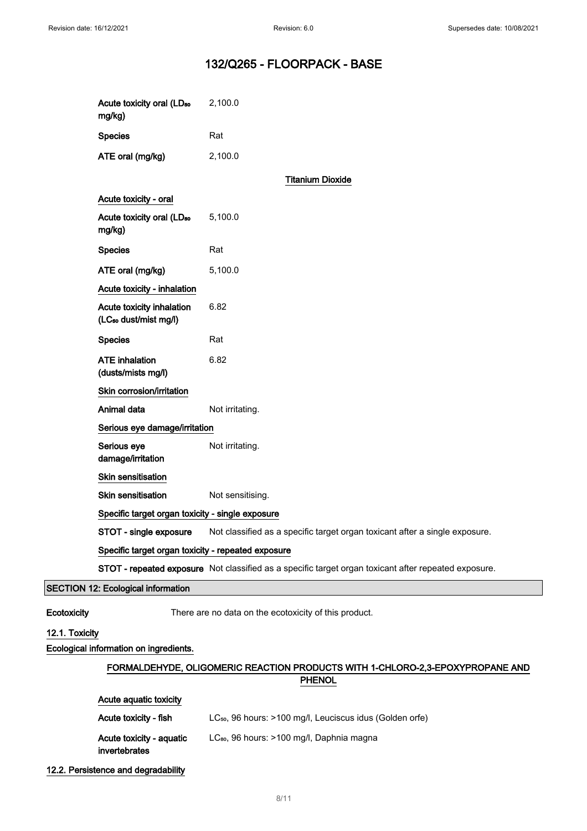| Acute toxicity oral (LD <sub>50</sub><br>mg/kg)                | 2,100.0                                                                                              |
|----------------------------------------------------------------|------------------------------------------------------------------------------------------------------|
| <b>Species</b>                                                 | Rat                                                                                                  |
| ATE oral (mg/kg)                                               | 2,100.0                                                                                              |
|                                                                | <b>Titanium Dioxide</b>                                                                              |
| Acute toxicity - oral                                          |                                                                                                      |
| Acute toxicity oral (LD <sub>50</sub><br>mg/kg)                | 5,100.0                                                                                              |
| <b>Species</b>                                                 | Rat                                                                                                  |
| ATE oral (mg/kg)                                               | 5,100.0                                                                                              |
| Acute toxicity - inhalation                                    |                                                                                                      |
| Acute toxicity inhalation<br>(LC <sub>50</sub> dust/mist mg/l) | 6.82                                                                                                 |
| <b>Species</b>                                                 | Rat                                                                                                  |
| <b>ATE</b> inhalation<br>(dusts/mists mg/l)                    | 6.82                                                                                                 |
| Skin corrosion/irritation                                      |                                                                                                      |
| Animal data                                                    | Not irritating.                                                                                      |
| Serious eye damage/irritation                                  |                                                                                                      |
| Serious eye<br>damage/irritation                               | Not irritating.                                                                                      |
| Skin sensitisation                                             |                                                                                                      |
| <b>Skin sensitisation</b>                                      | Not sensitising.                                                                                     |
| Specific target organ toxicity - single exposure               |                                                                                                      |
| STOT - single exposure                                         | Not classified as a specific target organ toxicant after a single exposure.                          |
| Specific target organ toxicity - repeated exposure             |                                                                                                      |
|                                                                | STOT - repeated exposure Not classified as a specific target organ toxicant after repeated exposure. |
| <b>SECTION 12: Ecological information</b>                      |                                                                                                      |

Ecotoxicity There are no data on the ecotoxicity of this product.

## 12.1. Toxicity

Ecological information on ingredients.

# FORMALDEHYDE, OLIGOMERIC REACTION PRODUCTS WITH 1-CHLORO-2,3-EPOXYPROPANE AND PHENOL

| Acute aguatic toxicity                    |                                                                      |
|-------------------------------------------|----------------------------------------------------------------------|
| Acute toxicity - fish                     | LC <sub>50</sub> , 96 hours: >100 mg/l, Leuciscus idus (Golden orfe) |
| Acute toxicity - aquatic<br>invertebrates | LC <sub>80</sub> , 96 hours: >100 mg/l, Daphnia magna                |

#### 12.2. Persistence and degradability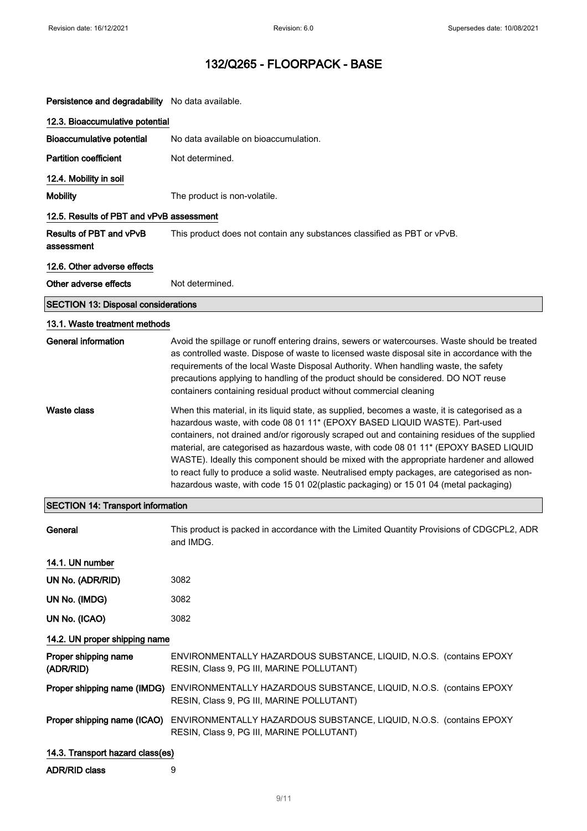| Persistence and degradability No data available. |                                                                                                                                                                                                                                                                                                                                                                                                                                                                                                                                                                                                                                                           |  |  |
|--------------------------------------------------|-----------------------------------------------------------------------------------------------------------------------------------------------------------------------------------------------------------------------------------------------------------------------------------------------------------------------------------------------------------------------------------------------------------------------------------------------------------------------------------------------------------------------------------------------------------------------------------------------------------------------------------------------------------|--|--|
| 12.3. Bioaccumulative potential                  |                                                                                                                                                                                                                                                                                                                                                                                                                                                                                                                                                                                                                                                           |  |  |
| <b>Bioaccumulative potential</b>                 | No data available on bioaccumulation.                                                                                                                                                                                                                                                                                                                                                                                                                                                                                                                                                                                                                     |  |  |
| <b>Partition coefficient</b>                     | Not determined.                                                                                                                                                                                                                                                                                                                                                                                                                                                                                                                                                                                                                                           |  |  |
| 12.4. Mobility in soil                           |                                                                                                                                                                                                                                                                                                                                                                                                                                                                                                                                                                                                                                                           |  |  |
| <b>Mobility</b>                                  | The product is non-volatile.                                                                                                                                                                                                                                                                                                                                                                                                                                                                                                                                                                                                                              |  |  |
| 12.5. Results of PBT and vPvB assessment         |                                                                                                                                                                                                                                                                                                                                                                                                                                                                                                                                                                                                                                                           |  |  |
| Results of PBT and vPvB<br>assessment            | This product does not contain any substances classified as PBT or vPvB.                                                                                                                                                                                                                                                                                                                                                                                                                                                                                                                                                                                   |  |  |
| 12.6. Other adverse effects                      |                                                                                                                                                                                                                                                                                                                                                                                                                                                                                                                                                                                                                                                           |  |  |
| Other adverse effects                            | Not determined.                                                                                                                                                                                                                                                                                                                                                                                                                                                                                                                                                                                                                                           |  |  |
| <b>SECTION 13: Disposal considerations</b>       |                                                                                                                                                                                                                                                                                                                                                                                                                                                                                                                                                                                                                                                           |  |  |
| 13.1. Waste treatment methods                    |                                                                                                                                                                                                                                                                                                                                                                                                                                                                                                                                                                                                                                                           |  |  |
| <b>General information</b>                       | Avoid the spillage or runoff entering drains, sewers or watercourses. Waste should be treated<br>as controlled waste. Dispose of waste to licensed waste disposal site in accordance with the<br>requirements of the local Waste Disposal Authority. When handling waste, the safety<br>precautions applying to handling of the product should be considered. DO NOT reuse<br>containers containing residual product without commercial cleaning                                                                                                                                                                                                          |  |  |
| Waste class                                      | When this material, in its liquid state, as supplied, becomes a waste, it is categorised as a<br>hazardous waste, with code 08 01 11* (EPOXY BASED LIQUID WASTE). Part-used<br>containers, not drained and/or rigorously scraped out and containing residues of the supplied<br>material, are categorised as hazardous waste, with code 08 01 11* (EPOXY BASED LIQUID<br>WASTE). Ideally this component should be mixed with the appropriate hardener and allowed<br>to react fully to produce a solid waste. Neutralised empty packages, are categorised as non-<br>hazardous waste, with code 15 01 02(plastic packaging) or 15 01 04 (metal packaging) |  |  |
| <b>SECTION 14: Transport information</b>         |                                                                                                                                                                                                                                                                                                                                                                                                                                                                                                                                                                                                                                                           |  |  |
| General                                          | This product is packed in accordance with the Limited Quantity Provisions of CDGCPL2, ADR<br>and IMDG.                                                                                                                                                                                                                                                                                                                                                                                                                                                                                                                                                    |  |  |
| 14.1. UN number                                  |                                                                                                                                                                                                                                                                                                                                                                                                                                                                                                                                                                                                                                                           |  |  |
| UN No. (ADR/RID)                                 | 3082                                                                                                                                                                                                                                                                                                                                                                                                                                                                                                                                                                                                                                                      |  |  |
| UN No. (IMDG)                                    | 3082                                                                                                                                                                                                                                                                                                                                                                                                                                                                                                                                                                                                                                                      |  |  |
| UN No. (ICAO)                                    | 3082                                                                                                                                                                                                                                                                                                                                                                                                                                                                                                                                                                                                                                                      |  |  |
| 14.2. UN proper shipping name                    |                                                                                                                                                                                                                                                                                                                                                                                                                                                                                                                                                                                                                                                           |  |  |
| Proper shipping name<br>(ADR/RID)                | ENVIRONMENTALLY HAZARDOUS SUBSTANCE, LIQUID, N.O.S. (contains EPOXY<br>RESIN, Class 9, PG III, MARINE POLLUTANT)                                                                                                                                                                                                                                                                                                                                                                                                                                                                                                                                          |  |  |
|                                                  | Proper shipping name (IMDG) ENVIRONMENTALLY HAZARDOUS SUBSTANCE, LIQUID, N.O.S. (contains EPOXY<br>RESIN, Class 9, PG III, MARINE POLLUTANT)                                                                                                                                                                                                                                                                                                                                                                                                                                                                                                              |  |  |
| Proper shipping name (ICAO)                      | ENVIRONMENTALLY HAZARDOUS SUBSTANCE, LIQUID, N.O.S. (contains EPOXY<br>RESIN, Class 9, PG III, MARINE POLLUTANT)                                                                                                                                                                                                                                                                                                                                                                                                                                                                                                                                          |  |  |
| 14.3. Transport hazard class(es)                 |                                                                                                                                                                                                                                                                                                                                                                                                                                                                                                                                                                                                                                                           |  |  |
| ADR/RID class                                    | 9                                                                                                                                                                                                                                                                                                                                                                                                                                                                                                                                                                                                                                                         |  |  |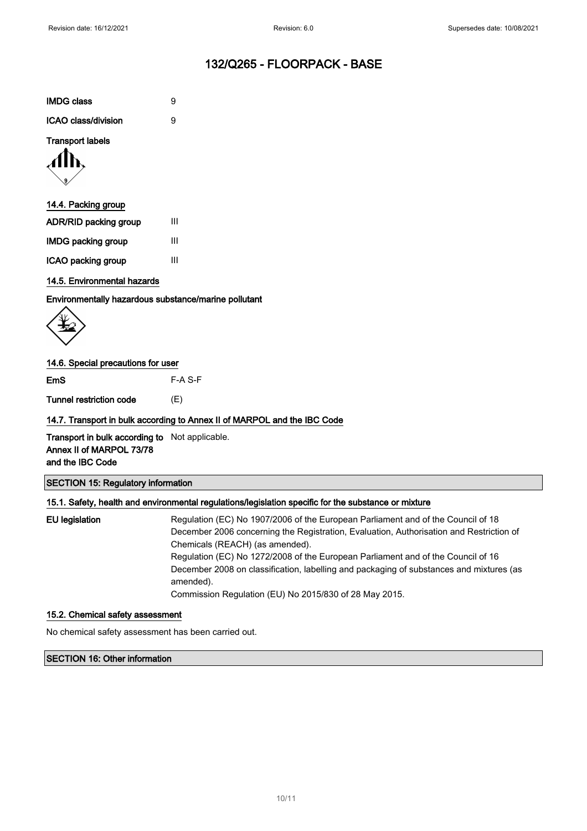| <b>IMDG class</b>   | я |
|---------------------|---|
| ICAO class/division | я |

## Transport labels



## 14.4. Packing group

| <b>ADR/RID packing group</b> | Ш |
|------------------------------|---|
| <b>IMDG packing group</b>    | Ш |
| ICAO packing group           | Ш |

## 14.5. Environmental hazards

Environmentally hazardous substance/marine pollutant

## 14.6. Special precautions for user

EmS F-A S-F

Tunnel restriction code (E)

## 14.7. Transport in bulk according to Annex II of MARPOL and the IBC Code

Transport in bulk according to Not applicable. Annex II of MARPOL 73/78 and the IBC Code

## SECTION 15: Regulatory information

## 15.1. Safety, health and environmental regulations/legislation specific for the substance or mixture

EU legislation Regulation (EC) No 1907/2006 of the European Parliament and of the Council of 18 December 2006 concerning the Registration, Evaluation, Authorisation and Restriction of Chemicals (REACH) (as amended). Regulation (EC) No 1272/2008 of the European Parliament and of the Council of 16 December 2008 on classification, labelling and packaging of substances and mixtures (as amended). Commission Regulation (EU) No 2015/830 of 28 May 2015.

#### 15.2. Chemical safety assessment

No chemical safety assessment has been carried out.

### SECTION 16: Other information